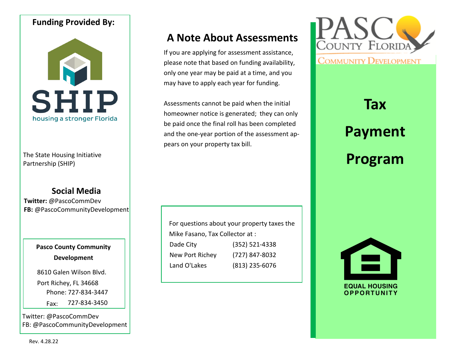## **Funding Provided By:**



The State Housing Partnership (SHIP)

## **Social Media**

**Twitter:** @PascoCommDev **FB:** @PascoCommunityDevelopment

## **Pasco County Community Development**

8610 Galen Wilson Blvd.

Port Richey, FL 34668 Phone: 727-834-3447

Fax: 727-834-3450

Twitter: @PascoCommDev FB: @PascoCommunityDevelopment

## **A Note About Assessments**

If you are applying for assessment assistance, please note that based on funding availability, only one year may be paid at a time, and you may have to apply each year for funding.

Assessments cannot be paid when the initial homeowner notice is generated; they can only be paid once the final roll has been completed and the one-year portion of the assessment appears on your property tax bill.

For questions about your property taxes the Mike Fasano, Tax Collector at : Dade City (352) 521-4338 New Port Richey (727) 847-8032 Land O'Lakes (813) 235-6076



# **Tax Payment Program**



**EQUAL HOUSING OPPORTUNITY**